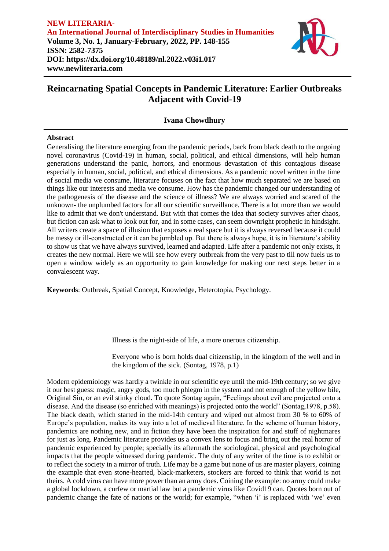

## **Ivana Chowdhury**

### **Abstract**

Generalising the literature emerging from the pandemic periods, back from black death to the ongoing novel coronavirus (Covid-19) in human, social, political, and ethical dimensions, will help human generations understand the panic, horrors, and enormous devastation of this contagious disease especially in human, social, political, and ethical dimensions. As a pandemic novel written in the time of social media we consume, literature focuses on the fact that how much separated we are based on things like our interests and media we consume. How has the pandemic changed our understanding of the pathogenesis of the disease and the science of illness? We are always worried and scared of the unknown- the unplumbed factors for all our scientific surveillance. There is a lot more than we would like to admit that we don't understand. But with that comes the idea that society survives after chaos, but fiction can ask what to look out for, and in some cases, can seem downright prophetic in hindsight. All writers create a space of illusion that exposes a real space but it is always reversed because it could be messy or ill-constructed or it can be jumbled up. But there is always hope, it is in literature's ability to show us that we have always survived, learned and adapted. Life after a pandemic not only exists, it creates the new normal. Here we will see how every outbreak from the very past to till now fuels us to open a window widely as an opportunity to gain knowledge for making our next steps better in a convalescent way.

**Keywords**: Outbreak, Spatial Concept, Knowledge, Heterotopia, Psychology.

Illness is the night-side of life, a more onerous citizenship.

Everyone who is born holds dual citizenship, in the kingdom of the well and in the kingdom of the sick. (Sontag, 1978, p.1)

Modern epidemiology was hardly a twinkle in our scientific eye until the mid-19th century; so we give it our best guess: magic, angry gods, too much phlegm in the system and not enough of the yellow bile, Original Sin, or an evil stinky cloud. To quote Sontag again, "Feelings about evil are projected onto a disease. And the disease (so enriched with meanings) is projected onto the world" (Sontag,1978, p.58). The black death, which started in the mid-14th century and wiped out almost from 30 % to 60% of Europe's population, makes its way into a lot of medieval literature. In the scheme of human history, pandemics are nothing new, and in fiction they have been the inspiration for and stuff of nightmares for just as long. Pandemic literature provides us a convex lens to focus and bring out the real horror of pandemic experienced by people; specially its aftermath the sociological, physical and psychological impacts that the people witnessed during pandemic. The duty of any writer of the time is to exhibit or to reflect the society in a mirror of truth. Life may be a game but none of us are master players, coining the example that even stone-hearted, black-marketers, stockers are forced to think that world is not theirs. A cold virus can have more power than an army does. Coining the example: no army could make a global lockdown, a curfew or martial law but a pandemic virus like Covid19 can. Quotes born out of pandemic change the fate of nations or the world; for example, "when 'i' is replaced with 'we' even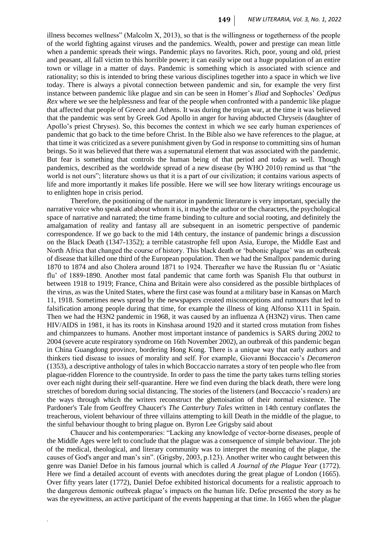illness becomes wellness" (Malcolm X, 2013), so that is the willingness or togetherness of the people of the world fighting against viruses and the pandemics. Wealth, power and prestige can mean little when a pandemic spreads their wings. Pandemic plays no favorites. Rich, poor, young and old, priest and peasant, all fall victim to this horrible power; it can easily wipe out a huge population of an entire town or village in a matter of days. Pandemic is something which is associated with science and rationality; so this is intended to bring these various disciplines together into a space in which we live today. There is always a pivotal connection between pandemic and sin, for example the very first instance between pandemic like plague and sin can be seen in Homer's *Iliad* and Sophocles' *Oedipus Rex* where we see the helplessness and fear of the people when confronted with a pandemic like plague that affected that people of Greece and Athens. It was during the trojan war, at the time it was believed that the pandemic was sent by Greek God Apollo in anger for having abducted Chryseis (daughter of Apollo's priest Chryses). So, this becomes the context in which we see early human experiences of pandemic that go back to the time before Christ. In the Bible also we have references to the plague, at that time it was criticized as a severe punishment given by God in response to committing sins of human beings. So it was believed that there was a supernatural element that was associated with the pandemic. But fear is something that controls the human being of that period and today as well. Though pandemics, described as the worldwide spread of a new disease (by WHO 2010) remind us that "the world is not ours"; literature shows us that it is a part of our civilization; it contains various aspects of life and more importantly it makes life possible. Here we will see how literary writings encourage us to enlighten hope in crisis period.

Therefore, the positioning of the narrator in pandemic literature is very important, specially the narrative voice who speak and about whom it is, it maybe the author or the characters, the psychological space of narrative and narrated; the time frame binding to culture and social rooting, and definitely the amalgamation of reality and fantasy all are subsequent in an isometric perspective of pandemic correspondence. If we go back to the mid 14th century, the instance of pandemic brings a discussion on the Black Death (1347-1352); a terrible catastrophe fell upon Asia, Europe, the Middle East and North Africa that changed the course of history. This black death or 'bubonic plague' was an outbreak of disease that killed one third of the European population. Then we had the Smallpox pandemic during 1870 to 1874 and also Cholera around 1871 to 1924. Thereafter we have the Russian flu or 'Asiatic flu' of 1889-1890. Another most fatal pandemic that came forth was Spanish Flu that outburst in between 1918 to 1919; France, China and Britain were also considered as the possible birthplaces of the virus, as was the United States, where the first case was found at a military base in Kansas on March 11, 1918. Sometimes news spread by the newspapers created misconceptions and rumours that led to falsification among people during that time, for example the illness of king Alfonso X111 in Spain. Then we had the H3N2 pandemic in 1968, it was caused by an influenza A (H3N2) virus. Then came HIV/AIDS in 1981, it has its roots in Kinshasa around 1920 and it started cross mutation from fishes and chimpanzees to humans. Another most important instance of pandemics is SARS during 2002 to 2004 (severe acute respiratory syndrome on 16th November 2002), an outbreak of this pandemic began in China Guangdong province, bordering Hong Kong. There is a unique way that early authors and thinkers tied disease to issues of morality and self. For example, Giovanni Boccaccio's *Decameron* (1353), a descriptive anthology of tales in which Boccaccio narrates a story of ten people who flee from plague-ridden Florence to the countryside. In order to pass the time the party takes turns telling stories over each night during their self-quarantine. Here we find even during the black death, there were long stretches of boredom during social distancing. The stories of the listeners (and Boccaccio's readers) are the ways through which the writers reconstruct the ghettoisation of their normal existence. The Pardoner's Tale from Geoffrey Chaucer's *The Canterbury Tales* written in 14th century conflates the treacherous, violent behaviour of three villains attempting to kill Death in the middle of the plague, to the sinful behaviour thought to bring plague on. Byron Lee Grigsby said about

Chaucer and his contemporaries: "Lacking any knowledge of vector-borne diseases, people of the Middle Ages were left to conclude that the plague was a consequence of simple behaviour. The job of the medical, theological, and literary community was to interpret the meaning of the plague, the causes of God's anger and man's sin". (Grigsby, 2003, p.123). Another writer who caught between this genre was Daniel Defoe in his famous journal which is called *A Journal of the Plague Year* (1772). Here we find a detailed account of events with anecdotes during the great plague of London (1665). Over fifty years later (1772), Daniel Defoe exhibited historical documents for a realistic approach to the dangerous demonic outbreak plague's impacts on the human life. Defoe presented the story as he was the eyewitness, an active participant of the events happening at that time. In 1665 when the plague

*.*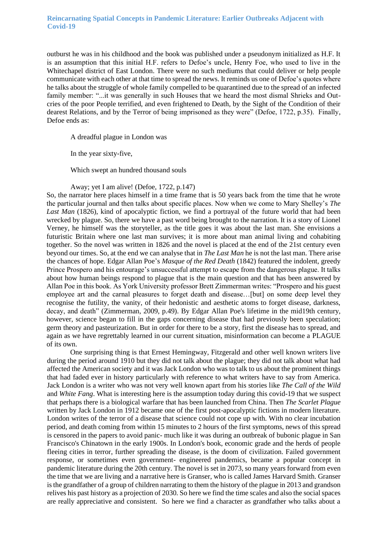outburst he was in his childhood and the book was published under a pseudonym initialized as H.F. It is an assumption that this initial H.F. refers to Defoe's uncle, Henry Foe, who used to live in the Whitechapel district of East London. There were no such mediums that could deliver or help people communicate with each other at that time to spread the news. It reminds us one of Defoe's quotes where he talks about the struggle of whole family compelled to be quarantined due to the spread of an infected family member: "...it was generally in such Houses that we heard the most dismal Shrieks and Outcries of the poor People terrified, and even frightened to Death, by the Sight of the Condition of their dearest Relations, and by the Terror of being imprisoned as they were" (Defoe, 1722, p.35). Finally, Defoe ends as:

A dreadful plague in London was

In the year sixty-five,

Which swept an hundred thousand souls

Away; yet I am alive! (Defoe, 1722, p.147)

So, the narrator here places himself in a time frame that is 50 years back from the time that he wrote the particular journal and then talks about specific places. Now when we come to Mary Shelley's *The* Last Man (1826), kind of apocalyptic fiction, we find a portrayal of the future world that had been wrecked by plague. So, there we have a past word being brought to the narration. It is a story of Lionel Verney, he himself was the storyteller, as the title goes it was about the last man. She envisions a futuristic Britain where one last man survives; it is more about man animal living and cohabiting together. So the novel was written in 1826 and the novel is placed at the end of the 21st century even beyond our times. So, at the end we can analyse that in *The Last Man* he is not the last man. There arise the chances of hope. Edgar Allan Poe's *Masque of the Red Death* (1842) featured the indolent, greedy Prince Prospero and his entourage's unsuccessful attempt to escape from the dangerous plague. It talks about how human beings respond to plague that is the main question and that has been answered by Allan Poe in this book. As York University professor Brett Zimmerman writes: "Prospero and his guest employee art and the carnal pleasures to forget death and disease…[but] on some deep level they recognise the futility, the vanity, of their hedonistic and aesthetic atoms to forget disease, darkness, decay, and death" (Zimmerman, 2009, p.49). By Edgar Allan Poe's lifetime in the mid19th century, however, science began to fill in the gaps concerning disease that had previously been speculation; germ theory and pasteurization. But in order for there to be a story, first the disease has to spread, and again as we have regrettably learned in our current situation, misinformation can become a PLAGUE of its own.

One surprising thing is that Ernest Hemingway, Fitzgerald and other well known writers live during the period around 1910 but they did not talk about the plague; they did not talk about what had affected the American society and it was Jack London who was to talk to us about the prominent things that had faded ever in history particularly with reference to what writers have to say from America. Jack London is a writer who was not very well known apart from his stories like *The Call of the Wild*  and *White Fang*. What is interesting here is the assumption today during this covid-19 that we suspect that perhaps there is a biological warfare that has been launched from China. Then *The Scarlet Plague*  written by Jack London in 1912 became one of the first post-apocalyptic fictions in modern literature. London writes of the terror of a disease that science could not cope up with. With no clear incubation period, and death coming from within 15 minutes to 2 hours of the first symptoms, news of this spread is censored in the papers to avoid panic- much like it was during an outbreak of bubonic plague in San Francisco's Chinatown in the early 1900s. In London's book, economic grade and the herds of people fleeing cities in terror, further spreading the disease, is the doom of civilization. Failed government response, or sometimes even government- engineered pandemics, became a popular concept in pandemic literature during the 20th century. The novel is set in 2073, so many years forward from even the time that we are living and a narrative here is Granser, who is called James Harvard Smith. Granser is the grandfather of a group of children narrating to them the history of the plague in 2013 and grandson relives his past history as a projection of 2030. So here we find the time scales and also the social spaces are really appreciative and consistent. So here we find a character as grandfather who talks about a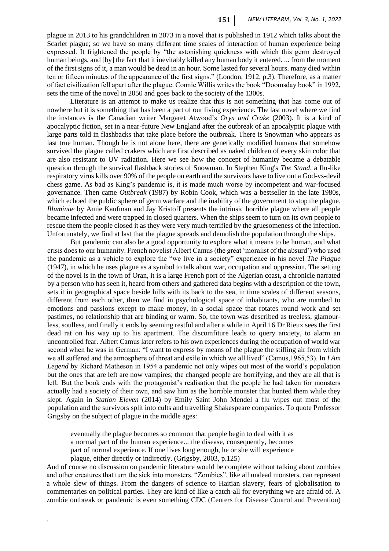plague in 2013 to his grandchildren in 2073 in a novel that is published in 1912 which talks about the Scarlet plague; so we have so many different time scales of interaction of human experience being expressed. It frightened the people by "the astonishing quickness with which this germ destroyed human beings, and [by] the fact that it inevitably killed any human body it entered. ... from the moment of the first signs of it, a man would be dead in an hour. Some lasted for several hours. many died within ten or fifteen minutes of the appearance of the first signs." (London, 1912, p.3). Therefore, as a matter of fact civilization fell apart after the plague. Connie Willis writes the book "Doomsday book" in 1992, sets the time of the novel in 2050 and goes back to the society of the 1300s.

Literature is an attempt to make us realize that this is not something that has come out of nowhere but it is something that has been a part of our living experience. The last novel where we find the instances is the Canadian writer Margaret Atwood's *Oryx and Crake* (2003). It is a kind of apocalyptic fiction, set in a near-future New England after the outbreak of an apocalyptic plague with large parts told in flashbacks that take place before the outbreak. There is Snowman who appears as last true human. Though he is not alone here, there are genetically modified humans that somehow survived the plague called crakers which are first described as naked children of every skin color that are also resistant to UV radiation. Here we see how the concept of humanity became a debatable question through the survival flashback stories of Snowman. In Stephen King's *The Stand*, a flu-like respiratory virus kills over 90% of the people on earth and the survivors have to live out a God-vs-devil chess game. As bad as King's pandemic is, it is made much worse by incompetent and war-focused governance. Then came *Outbreak* (1987) by Robin Cook, which was a bestseller in the late 1980s, which echoed the public sphere of germ warfare and the inability of the government to stop the plague. *Illuminae* by Amie Kaufman and Jay Kristoff presents the intrinsic horrible plague where all people became infected and were trapped in closed quarters. When the ships seem to turn on its own people to rescue them the people closed it as they were very much terrified by the gruesomeness of the infection. Unfortunately, we find at last that the plague spreads and demolish the population through the ships.

But pandemic can also be a good opportunity to explore what it means to be human, and what crisis does to our humanity. French novelist Albert Camus (the great 'moralist of the absurd') who used the pandemic as a vehicle to explore the "we live in a society" experience in his novel *The Plague*  (1947), in which he uses plague as a symbol to talk about war, occupation and oppression. The setting of the novel is in the town of Oran, it is a large French port of the Algerian coast, a chronicle narrated by a person who has seen it, heard from others and gathered data begins with a description of the town, sets it in geographical space beside hills with its back to the sea, in time scales of different seasons, different from each other, then we find in psychological space of inhabitants, who are numbed to emotions and passions except to make money, in a social space that rotates round work and set pastimes, no relationship that are binding or warm. So, the town was described as treeless, glamourless, soulless, and finally it ends by seeming restful and after a while in April 16 Dr Rieux sees the first dead rat on his way up to his apartment. The discomfiture leads to query anxiety, to alarm an uncontrolled fear. Albert Camus later refers to his own experiences during the occupation of world war second when he was in German: "I want to express by means of the plague the stifling air from which we all suffered and the atmosphere of threat and exile in which we all lived" (Camus,1965,53). In *I Am Legend* by Richard Matheson in 1954 a pandemic not only wipes out most of the world's population but the ones that are left are now vampires; the changed people are horrifying, and they are all that is left. But the book ends with the protagonist's realisation that the people he had taken for monsters actually had a society of their own, and saw him as the horrible monster that hunted them while they slept. Again in *Station Eleven* (2014) by Emily Saint John Mendel a flu wipes out most of the population and the survivors split into cults and travelling Shakespeare companies. To quote Professor Grigsby on the subject of plague in the middle ages:

eventually the plague becomes so common that people begin to deal with it as a normal part of the human experience... the disease, consequently, becomes part of normal experience. If one lives long enough, he or she will experience plague, either directly or indirectly. (Grigsby, 2003, p.125)

*.*

And of course no discussion on pandemic literature would be complete without talking about zombies and other creatures that turn the sick into monsters. "Zombies", like all undead monsters, can represent a whole slew of things. From the dangers of science to Haitian slavery, fears of globalisation to commentaries on political parties. They are kind of like a catch-all for everything we are afraid of. A zombie outbreak or pandemic is even something CDC (Centers for Disease Control and Prevention)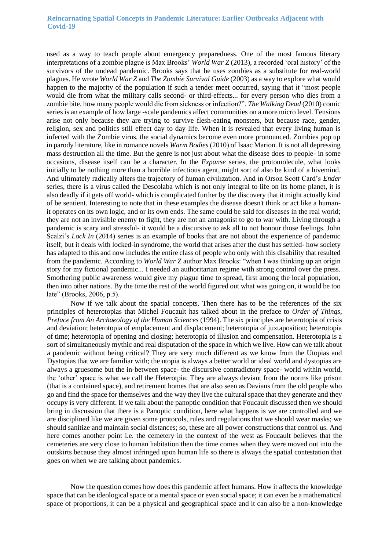used as a way to teach people about emergency preparedness. One of the most famous literary interpretations of a zombie plague is Max Brooks' *World War Z* (2013), a recorded 'oral history' of the survivors of the undead pandemic. Brooks says that he uses zombies as a substitute for real-world plagues. He wrote *World War Z* and *The Zombie Survival Guide* (2003) as a way to explore what would happen to the majority of the population if such a tender meet occurred, saying that it "most people would die from what the military calls second- or third-effects... for every person who dies from a zombie bite, how many people would die from sickness or infection?". *The Walking Dead* (2010) comic series is an example of how large -scale pandemics affect communities on a more micro level. Tensions arise not only because they are trying to survive flesh-eating monsters, but because race, gender, religion, sex and politics still effect day to day life. When it is revealed that every living human is infected with the Zombie virus, the social dynamics become even more pronounced. Zombies pop up in parody literature, like in romance novels *Warm Bodies* (2010) of Isaac Marion. It is not all depressing mass destruction all the time. But the genre is not just about what the disease does to people- in some occasions, disease itself can be a character. In the *Expanse* series, the protomolecule, what looks initially to be nothing more than a horrible infectious agent, might sort of also be kind of a hivemind. And ultimately radically alters the trajectory of human civilization. And in Orson Scott Card's *Ender*  series, there is a virus called the Descolaba which is not only integral to life on its home planet, it is also deadly if it gets off world- which is complicated further by the discovery that it might actually kind of be sentient. Interesting to note that in these examples the disease doesn't think or act like a humanit operates on its own logic, and or its own ends. The same could be said for diseases in the real world; they are not an invisible enemy to fight, they are not an antagonist to go to war with. Living through a pandemic is scary and stressful- it would be a discursive to ask all to not honour those feelings. John Scalzi's *Lock In* (2014) series is an example of books that are not about the experience of pandemic itself, but it deals with locked-in syndrome, the world that arises after the dust has settled- how society has adapted to this and now includes the entire class of people who only with this disability that resulted from the pandemic. According to *World War Z* author Max Brooks: "when I was thinking up an origin story for my fictional pandemic... I needed an authoritarian regime with strong control over the press. Smothering public awareness would give my plague time to spread, first among the local population, then into other nations. By the time the rest of the world figured out what was going on, it would be too late" (Brooks, 2006, p.5).

Now if we talk about the spatial concepts. Then there has to be the references of the six principles of heterotopias that Michel Foucault has talked about in the preface to *Order of Things, Preface from An Archaeology of the Human Sciences* (1994). The six principles are heterotopia of crisis and deviation; heterotopia of emplacement and displacement; heterotopia of juxtaposition; heterotopia of time; heterotopia of opening and closing; heterotopia of illusion and compensation. Heterotopia is a sort of simultaneously mythic and real disputation of the space in which we live. How can we talk about a pandemic without being critical? They are very much different as we know from the Utopias and Dystopias that we are familiar with; the utopia is always a better world or ideal world and dystopias are always a gruesome but the in-between space- the discursive contradictory space- world within world, the 'other' space is what we call the Heterotpia. They are always deviant from the norms like prison (that is a contained space), and retirement homes that are also seen as Davians from the old people who go and find the space for themselves and the way they live the cultural space that they generate and they occupy is very different. If we talk about the panoptic condition that Foucault discussed then we should bring in discussion that there is a Panoptic condition, here what happens is we are controlled and we are disciplined like we are given some protocols, rules and regulations that we should wear masks; we should sanitize and maintain social distances; so, these are all power constructions that control us. And here comes another point i.e. the cemetery in the context of the west as Foucault believes that the cemeteries are very close to human habitation then the time comes when they were moved out into the outskirts because they almost infringed upon human life so there is always the spatial contestation that goes on when we are talking about pandemics.

Now the question comes how does this pandemic affect humans. How it affects the knowledge space that can be ideological space or a mental space or even social space; it can even be a mathematical space of proportions, it can be a physical and geographical space and it can also be a non-knowledge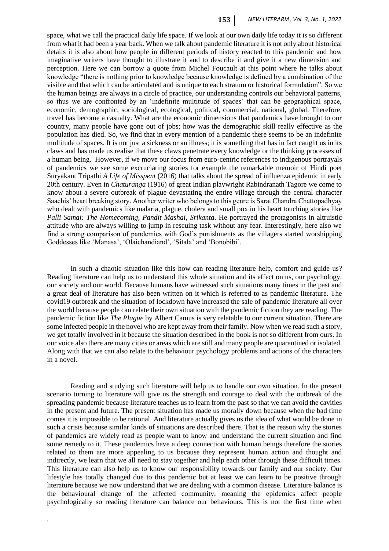space, what we call the practical daily life space. If we look at our own daily life today it is so different from what it had been a year back. When we talk about pandemic literature it is not only about historical details it is also about how people in different periods of history reacted to this pandemic and how imaginative writers have thought to illustrate it and to describe it and give it a new dimension and perception. Here we can borrow a quote from Michel Foucault at this point where he talks about knowledge "there is nothing prior to knowledge because knowledge is defined by a combination of the visible and that which can be articulated and is unique to each stratum or historical formulation". So we the human beings are always in a circle of practice, our understanding controls our behavioral patterns, so thus we are confronted by an 'indefinite multitude of spaces' that can be geographical space, economic, demographic, sociological, ecological, political, commercial, national, global. Therefore, travel has become a casualty. What are the economic dimensions that pandemics have brought to our country, many people have gone out of jobs; how was the demographic skill really effective as the population has died. So, we find that in every mention of a pandemic there seems to be an indefinite multitude of spaces. It is not just a sickness or an illness; it is something that has in fact caught us in its claws and has made us realise that these claws penetrate every knowledge or the thinking processes of a human being. However, if we move our focus from euro-centric references to indigenous portrayals of pandemics we see some excruciating stories for example the remarkable memoir of Hindi poet Suryakant Tripathi *A Life of Misspent* (2016) that talks about the spread of influenza epidemic in early 20th century. Even in *Chaturanga* (1916) of great Indian playwright Rabindranath Tagore we come to know about a severe outbreak of plague devastating the entire village through the central character Saachis' heart breaking story. Another writer who belongs to this genre is Sarat Chandra Chattopadhyay who dealt with pandemics like malaria, plague, cholera and small pox in his heart touching stories like *Palli Samaj: The Homecoming, Pandit Mashai, Srikanta*. He portrayed the protagonists in altruistic attitude who are always willing to jump in rescuing task without any fear. Interestingly, here also we find a strong comparison of pandemics with God's punishments as the villagers started worshipping Goddesses like 'Manasa', 'Olaichandiand', 'Sitala' and 'Bonobibi'.

In such a chaotic situation like this how can reading literature help, comfort and guide us? Reading literature can help us to understand this whole situation and its effect on us, our psychology, our society and our world. Because humans have witnessed such situations many times in the past and a great deal of literature has also been written on it which is referred to as pandemic literature. The covid19 outbreak and the situation of lockdown have increased the sale of pandemic literature all over the world because people can relate their own situation with the pandemic fiction they are reading. The pandemic fiction like *The Plague* by Albert Camus is very relatable to our current situation. There are some infected people in the novel who are kept away from their family. Now when we read such a story, we get totally involved in it because the situation described in the book is not so different from ours. In our voice also there are many cities or areas which are still and many people are quarantined or isolated. Along with that we can also relate to the behaviour psychology problems and actions of the characters in a novel.

Reading and studying such literature will help us to handle our own situation. In the present scenario turning to literature will give us the strength and courage to deal with the outbreak of the spreading pandemic because literature teaches us to learn from the past so that we can avoid the cavities in the present and future. The present situation has made us morally down because when the bad time comes it is impossible to be rational. And literature actually gives us the idea of what would be done in such a crisis because similar kinds of situations are described there. That is the reason why the stories of pandemics are widely read as people want to know and understand the current situation and find some remedy to it. These pandemics have a deep connection with human beings therefore the stories related to them are more appealing to us because they represent human action and thought and indirectly, we learn that we all need to stay together and help each other through these difficult times. This literature can also help us to know our responsibility towards our family and our society. Our lifestyle has totally changed due to this pandemic but at least we can learn to be positive through literature because we now understand that we are dealing with a common disease. Literature balance is the behavioural change of the affected community, meaning the epidemics affect people psychologically so reading literature can balance our behaviours. This is not the first time when

*.*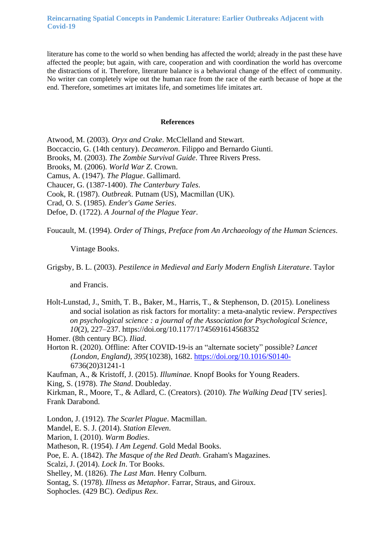literature has come to the world so when bending has affected the world; already in the past these have affected the people; but again, with care, cooperation and with coordination the world has overcome the distractions of it. Therefore, literature balance is a behavioral change of the effect of community. No writer can completely wipe out the human race from the race of the earth because of hope at the end. Therefore, sometimes art imitates life, and sometimes life imitates art.

#### **References**

Atwood, M. (2003). *Oryx and Crake*. McClelland and Stewart. Boccaccio, G. (14th century). *Decameron*. Filippo and Bernardo Giunti. Brooks, M. (2003). *The Zombie Survival Guide*. Three Rivers Press. Brooks, M. (2006). *World War Z*. Crown. Camus, A. (1947). *The Plague*. Gallimard. Chaucer, G. (1387-1400). *The Canterbury Tales*. Cook, R. (1987). *Outbreak*. Putnam (US), Macmillan (UK). Crad, O. S. (1985). *Ender's Game Series*. Defoe, D. (1722). *A Journal of the Plague Year*.

Foucault, M. (1994). *Order of Things, Preface from An Archaeology of the Human Sciences*.

Vintage Books.

Grigsby, B. L. (2003). *Pestilence in Medieval and Early Modern English Literature*. Taylor

and Francis.

Holt-Lunstad, J., Smith, T. B., Baker, M., Harris, T., & Stephenson, D. (2015). Loneliness and social isolation as risk factors for mortality: a meta-analytic review. *Perspectives on psychological science : a journal of the Association for Psychological Science*, *10*(2), 227–237. https://doi.org/10.1177/1745691614568352

Homer. (8th century BC). *Iliad*.

Horton R. (2020). Offline: After COVID-19-is an "alternate society" possible? *Lancet (London, England)*, *395*(10238), 1682.<https://doi.org/10.1016/S0140-> 6736(20)31241-1

Kaufman, A., & Kristoff, J. (2015). *Illuminae*. Knopf Books for Young Readers. King, S. (1978). *The Stand*. Doubleday.

Kirkman, R., Moore, T., & Adlard, C. (Creators). (2010). *The Walking Dead* [TV series]. Frank Darabond.

London, J. (1912). *The Scarlet Plague*. Macmillan.

Mandel, E. S. J. (2014). *Station Eleven*.

Marion, I. (2010). *Warm Bodies*.

Matheson, R. (1954). *I Am Legend*. Gold Medal Books.

Poe, E. A. (1842). *The Masque of the Red Death*. Graham's Magazines.

Scalzi, J. (2014). *Lock In*. Tor Books.

Shelley, M. (1826). *The Last Man*. Henry Colburn.

Sontag, S. (1978). *Illness as Metaphor*. Farrar, Straus, and Giroux.

Sophocles. (429 BC). *Oedipus Rex*.